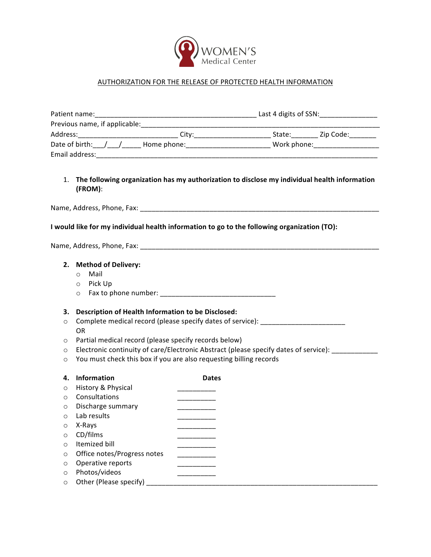

# AUTHORIZATION FOR THE RELEASE OF PROTECTED HEALTH INFORMATION

| Patient name:                                                                                                 |                                                                                                                     |              |  |  |
|---------------------------------------------------------------------------------------------------------------|---------------------------------------------------------------------------------------------------------------------|--------------|--|--|
|                                                                                                               |                                                                                                                     |              |  |  |
| Address:_______________________________City:_____________________________State:___________Zip Code:__________ |                                                                                                                     |              |  |  |
|                                                                                                               | Date of birth:___/____/_______Home phone:_________________________________Work phone:_________________________      |              |  |  |
|                                                                                                               |                                                                                                                     |              |  |  |
|                                                                                                               |                                                                                                                     |              |  |  |
|                                                                                                               | 1. The following organization has my authorization to disclose my individual health information<br>(FROM):          |              |  |  |
|                                                                                                               | Name, Address, Phone, Fax: Name and Society and Society and Society and Society and Society and Society and Society |              |  |  |
|                                                                                                               | I would like for my individual health information to go to the following organization (TO):                         |              |  |  |
|                                                                                                               |                                                                                                                     |              |  |  |
| 2. Method of Delivery:                                                                                        |                                                                                                                     |              |  |  |
|                                                                                                               | Mail<br>$\circ$                                                                                                     |              |  |  |
|                                                                                                               | Pick Up<br>$\circ$                                                                                                  |              |  |  |
|                                                                                                               | $\circ$                                                                                                             |              |  |  |
|                                                                                                               |                                                                                                                     |              |  |  |
| 3.                                                                                                            | Description of Health Information to be Disclosed:                                                                  |              |  |  |
| $\circ$                                                                                                       | Complete medical record (please specify dates of service): _____________________<br><b>OR</b>                       |              |  |  |
| $\circ$                                                                                                       | Partial medical record (please specify records below)                                                               |              |  |  |
| O                                                                                                             | Electronic continuity of care/Electronic Abstract (please specify dates of service):                                |              |  |  |
| $\circ$                                                                                                       | You must check this box if you are also requesting billing records                                                  |              |  |  |
| 4.                                                                                                            | Information                                                                                                         | <b>Dates</b> |  |  |
| $\circ$                                                                                                       | History & Physical                                                                                                  |              |  |  |
| $\circ$                                                                                                       | Consultations                                                                                                       |              |  |  |
| $\circ$                                                                                                       | Discharge summary                                                                                                   |              |  |  |
| $\circ$                                                                                                       | Lab results                                                                                                         |              |  |  |
| $\circ$                                                                                                       | X-Rays                                                                                                              |              |  |  |
| O                                                                                                             | CD/films                                                                                                            |              |  |  |
| $\circ$                                                                                                       | Itemized bill                                                                                                       |              |  |  |
| O                                                                                                             | Office notes/Progress notes                                                                                         |              |  |  |
| O                                                                                                             | Operative reports                                                                                                   |              |  |  |
| $\circ$                                                                                                       | Photos/videos                                                                                                       |              |  |  |
| $\circ$                                                                                                       | Other (Please specify)                                                                                              |              |  |  |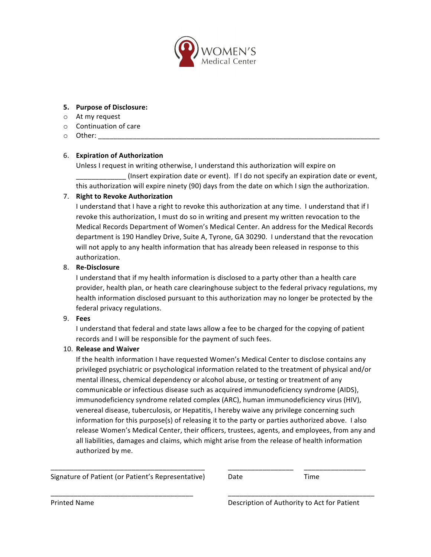

#### **5. Purpose of Disclosure:**

- $\circ$  At my request
- $\circ$  Continuation of care
- $\circ$  Other:

# 6. **Expiration of Authorization**

Unless I request in writing otherwise, I understand this authorization will expire on \_\_\_\_\_\_\_\_\_\_\_\_\_ (Insert expiration date or event). If I do not specify an expiration date or event, this authorization will expire ninety (90) days from the date on which I sign the authorization.

# 7. **Right to Revoke Authorization**

I understand that I have a right to revoke this authorization at any time. I understand that if I revoke this authorization, I must do so in writing and present my written revocation to the Medical Records Department of Women's Medical Center. An address for the Medical Records department is 190 Handley Drive, Suite A, Tyrone, GA 30290. I understand that the revocation will not apply to any health information that has already been released in response to this authorization. 

# 8. **Re-Disclosure**

I understand that if my health information is disclosed to a party other than a health care provider, health plan, or heath care clearinghouse subject to the federal privacy regulations, my health information disclosed pursuant to this authorization may no longer be protected by the federal privacy regulations.

#### 9. **Fees**

I understand that federal and state laws allow a fee to be charged for the copying of patient records and I will be responsible for the payment of such fees.

#### 10. **Release and Waiver**

If the health information I have requested Women's Medical Center to disclose contains any privileged psychiatric or psychological information related to the treatment of physical and/or mental illness, chemical dependency or alcohol abuse, or testing or treatment of any communicable or infectious disease such as acquired immunodeficiency syndrome (AIDS), immunodeficiency syndrome related complex (ARC), human immunodeficiency virus (HIV), venereal disease, tuberculosis, or Hepatitis, I hereby waive any privilege concerning such information for this purpose(s) of releasing it to the party or parties authorized above. I also release Women's Medical Center, their officers, trustees, agents, and employees, from any and all liabilities, damages and claims, which might arise from the release of health information authorized by me.

\_\_\_\_\_\_\_\_\_\_\_\_\_\_\_\_\_\_\_\_\_\_\_\_\_\_\_\_\_\_\_\_\_\_\_\_\_\_\_\_ \_\_\_\_\_\_\_\_\_\_\_\_\_\_\_\_\_ \_\_\_\_\_\_\_\_\_\_\_\_\_\_\_\_

\_\_\_\_\_\_\_\_\_\_\_\_\_\_\_\_\_\_\_\_\_\_\_\_\_\_\_\_\_\_\_\_\_\_\_\_\_ \_\_\_\_\_\_\_\_\_\_\_\_\_\_\_\_\_\_\_\_\_\_\_\_\_\_\_\_\_\_\_\_\_\_\_\_\_\_

Signature of Patient (or Patient's Representative) Date Time

Printed Name **Description** of Authority to Act for Patient